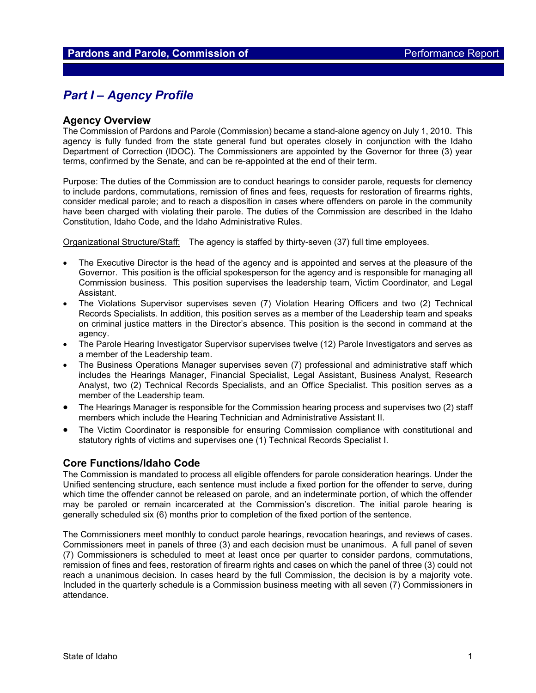# *Part I – Agency Profile*

### **Agency Overview**

The Commission of Pardons and Parole (Commission) became a stand-alone agency on July 1, 2010. This agency is fully funded from the state general fund but operates closely in conjunction with the Idaho Department of Correction (IDOC). The Commissioners are appointed by the Governor for three (3) year terms, confirmed by the Senate, and can be re-appointed at the end of their term.

Purpose: The duties of the Commission are to conduct hearings to consider parole, requests for clemency to include pardons, commutations, remission of fines and fees, requests for restoration of firearms rights, consider medical parole; and to reach a disposition in cases where offenders on parole in the community have been charged with violating their parole. The duties of the Commission are described in the Idaho Constitution, Idaho Code, and the Idaho Administrative Rules.

Organizational Structure/Staff: The agency is staffed by thirty-seven (37) full time employees.

- The Executive Director is the head of the agency and is appointed and serves at the pleasure of the Governor. This position is the official spokesperson for the agency and is responsible for managing all Commission business. This position supervises the leadership team, Victim Coordinator, and Legal Assistant.
- The Violations Supervisor supervises seven (7) Violation Hearing Officers and two (2) Technical Records Specialists. In addition, this position serves as a member of the Leadership team and speaks on criminal justice matters in the Director's absence. This position is the second in command at the agency.
- The Parole Hearing Investigator Supervisor supervises twelve (12) Parole Investigators and serves as a member of the Leadership team.
- The Business Operations Manager supervises seven (7) professional and administrative staff which includes the Hearings Manager, Financial Specialist, Legal Assistant, Business Analyst, Research Analyst, two (2) Technical Records Specialists, and an Office Specialist. This position serves as a member of the Leadership team.
- The Hearings Manager is responsible for the Commission hearing process and supervises two (2) staff members which include the Hearing Technician and Administrative Assistant II.
- The Victim Coordinator is responsible for ensuring Commission compliance with constitutional and statutory rights of victims and supervises one (1) Technical Records Specialist I.

### **Core Functions/Idaho Code**

The Commission is mandated to process all eligible offenders for parole consideration hearings. Under the Unified sentencing structure, each sentence must include a fixed portion for the offender to serve, during which time the offender cannot be released on parole, and an indeterminate portion, of which the offender may be paroled or remain incarcerated at the Commission's discretion. The initial parole hearing is generally scheduled six (6) months prior to completion of the fixed portion of the sentence.

The Commissioners meet monthly to conduct parole hearings, revocation hearings, and reviews of cases. Commissioners meet in panels of three (3) and each decision must be unanimous. A full panel of seven (7) Commissioners is scheduled to meet at least once per quarter to consider pardons, commutations, remission of fines and fees, restoration of firearm rights and cases on which the panel of three (3) could not reach a unanimous decision. In cases heard by the full Commission, the decision is by a majority vote. Included in the quarterly schedule is a Commission business meeting with all seven (7) Commissioners in attendance.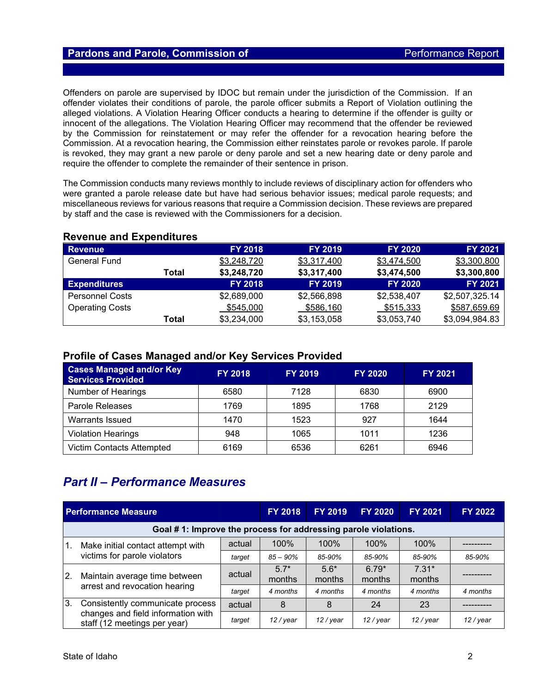## **Pardons and Parole, Commission of Parole Performance Report**

Offenders on parole are supervised by IDOC but remain under the jurisdiction of the Commission. If an offender violates their conditions of parole, the parole officer submits a Report of Violation outlining the alleged violations. A Violation Hearing Officer conducts a hearing to determine if the offender is guilty or innocent of the allegations. The Violation Hearing Officer may recommend that the offender be reviewed by the Commission for reinstatement or may refer the offender for a revocation hearing before the Commission. At a revocation hearing, the Commission either reinstates parole or revokes parole. If parole is revoked, they may grant a new parole or deny parole and set a new hearing date or deny parole and require the offender to complete the remainder of their sentence in prison.

The Commission conducts many reviews monthly to include reviews of disciplinary action for offenders who were granted a parole release date but have had serious behavior issues; medical parole requests; and miscellaneous reviews for various reasons that require a Commission decision. These reviews are prepared by staff and the case is reviewed with the Commissioners for a decision.

| <b>Revenue</b>         |       | <b>FY 2018</b> | <b>FY 2019</b> | <b>FY 2020</b> | <b>FY 2021</b> |  |  |  |  |
|------------------------|-------|----------------|----------------|----------------|----------------|--|--|--|--|
| <b>General Fund</b>    |       | \$3,248,720    | \$3,317,400    | \$3,474,500    | \$3,300,800    |  |  |  |  |
|                        | Total | \$3,248,720    | \$3,317,400    | \$3,474,500    | \$3,300,800    |  |  |  |  |
| <b>Expenditures</b>    |       | <b>FY 2018</b> | <b>FY 2019</b> | <b>FY 2020</b> | <b>FY 2021</b> |  |  |  |  |
| <b>Personnel Costs</b> |       | \$2,689,000    | \$2,566,898    | \$2,538,407    | \$2,507,325.14 |  |  |  |  |
| <b>Operating Costs</b> |       | \$545,000      | \$586,160      | \$515,333      | \$587,659.69   |  |  |  |  |
|                        | Total | \$3,234,000    | \$3,153,058    | \$3,053,740    | \$3,094,984.83 |  |  |  |  |

## **Revenue and Expenditures**

## **Profile of Cases Managed and/or Key Services Provided**

| <b>Cases Managed and/or Key</b><br><b>Services Provided</b> | <b>FY 2018</b> | <b>FY 2019</b> | <b>FY 2020</b> | <b>FY 2021</b> |
|-------------------------------------------------------------|----------------|----------------|----------------|----------------|
| Number of Hearings                                          | 6580           | 7128           | 6830           | 6900           |
| Parole Releases                                             | 1769           | 1895           | 1768           | 2129           |
| Warrants Issued                                             | 1470           | 1523           | 927            | 1644           |
| <b>Violation Hearings</b>                                   | 948            | 1065           | 1011           | 1236           |
| <b>Victim Contacts Attempted</b>                            | 6169           | 6536           | 6261           | 6946           |

# *Part II – Performance Measures*

| <b>Performance Measure</b> |                                                                    |        | <b>FY 2018</b>   | <b>FY 2019</b>   | <b>FY 2020</b>    | <b>FY 2021</b>    | <b>FY 2022</b> |  |
|----------------------------|--------------------------------------------------------------------|--------|------------------|------------------|-------------------|-------------------|----------------|--|
|                            | Goal #1: Improve the process for addressing parole violations.     |        |                  |                  |                   |                   |                |  |
| $\mathbf{1}$ .             | Make initial contact attempt with                                  | actual | 100%             | 100%             | 100%              | 100%              |                |  |
|                            | victims for parole violators                                       | target | $85 - 90\%$      | 85-90%           | 85-90%            | 85-90%            | 85-90%         |  |
| $\overline{2}$ .           | Maintain average time between<br>arrest and revocation hearing     | actual | $5.7*$<br>months | $5.6*$<br>months | $6.79*$<br>months | $7.31*$<br>months |                |  |
|                            |                                                                    | target | 4 months         | 4 months         | 4 months          | 4 months          | 4 months       |  |
| 3.                         | Consistently communicate process                                   | actual | 8                | 8                | 24                | 23                |                |  |
|                            | changes and field information with<br>staff (12 meetings per year) | target | 12 / year        | 12 / year        | 12 / year         | 12 / year         | 12 / year      |  |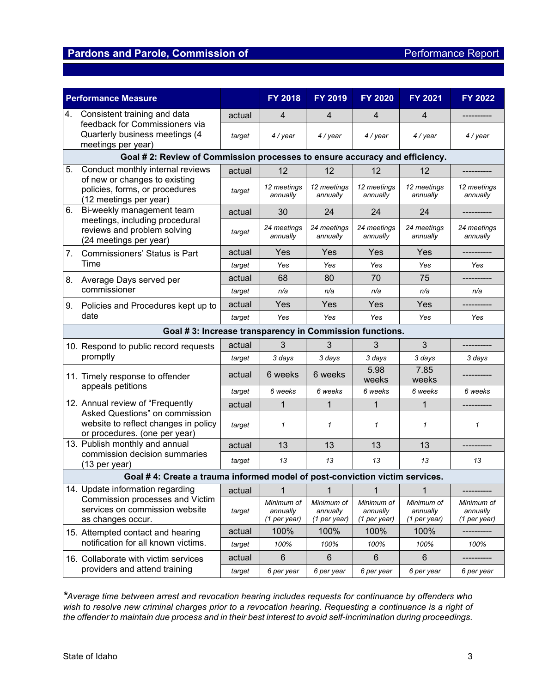# **Pardons and Parole, Commission of Parole Access Performance Report**

| <b>Performance Measure</b>    |                                                                                                                               |        | <b>FY 2018</b>                           | <b>FY 2019</b>                         | <b>FY 2020</b>                         | <b>FY 2021</b>                         | <b>FY 2022</b>                           |  |
|-------------------------------|-------------------------------------------------------------------------------------------------------------------------------|--------|------------------------------------------|----------------------------------------|----------------------------------------|----------------------------------------|------------------------------------------|--|
| 4.                            | Consistent training and data                                                                                                  | actual | 4                                        | 4                                      | 4                                      | 4                                      |                                          |  |
|                               | feedback for Commissioners via<br>Quarterly business meetings (4<br>meetings per year)                                        | target | 4 / year                                 | 4 / year                               | 4 / year                               | 4 / year                               | 4 / year                                 |  |
|                               | Goal # 2: Review of Commission processes to ensure accuracy and efficiency.                                                   |        |                                          |                                        |                                        |                                        |                                          |  |
| 5.                            | Conduct monthly internal reviews<br>of new or changes to existing<br>policies, forms, or procedures<br>(12 meetings per year) | actual | 12                                       | 12                                     | 12                                     | 12                                     |                                          |  |
|                               |                                                                                                                               | target | 12 meetings<br>annually                  | 12 meetings<br>annually                | 12 meetings<br>annually                | 12 meetings<br>annually                | 12 meetings<br>annually                  |  |
| 6.                            | Bi-weekly management team                                                                                                     | actual | 30                                       | 24                                     | 24                                     | 24                                     | -----------                              |  |
|                               | meetings, including procedural<br>reviews and problem solving<br>(24 meetings per year)                                       | target | 24 meetings<br>annually                  | 24 meetings<br>annually                | 24 meetings<br>annually                | 24 meetings<br>annually                | 24 meetings<br>annually                  |  |
| 7.                            | <b>Commissioners' Status is Part</b>                                                                                          | actual | Yes                                      | Yes                                    | Yes                                    | Yes                                    |                                          |  |
|                               | Time                                                                                                                          | target | Yes                                      | Yes                                    | Yes                                    | Yes                                    | Yes                                      |  |
| 8.                            | Average Days served per                                                                                                       | actual | 68                                       | 80                                     | 70                                     | 75                                     |                                          |  |
|                               | commissioner                                                                                                                  | target | n/a                                      | n/a                                    | n/a                                    | n/a                                    | n/a                                      |  |
| 9.                            | Policies and Procedures kept up to<br>date                                                                                    | actual | Yes                                      | Yes                                    | Yes                                    | Yes                                    |                                          |  |
|                               |                                                                                                                               | target | Yes                                      | Yes                                    | Yes                                    | Yes                                    | Yes                                      |  |
|                               | Goal #3: Increase transparency in Commission functions.                                                                       |        |                                          |                                        |                                        |                                        |                                          |  |
|                               | 10. Respond to public record requests<br>promptly                                                                             | actual | 3                                        | 3                                      | 3                                      | $\overline{3}$                         |                                          |  |
|                               |                                                                                                                               | target | 3 days                                   | 3 days                                 | 3 days                                 | 3 days                                 | 3 days                                   |  |
|                               | 11. Timely response to offender<br>appeals petitions                                                                          | actual | 6 weeks                                  | 6 weeks                                | 5.98<br>weeks                          | 7.85<br>weeks                          |                                          |  |
|                               |                                                                                                                               | target | 6 weeks                                  | 6 weeks                                | 6 weeks                                | 6 weeks                                | 6 weeks                                  |  |
|                               | 12. Annual review of "Frequently                                                                                              | actual | $\mathbf{1}$                             | 1                                      | 1                                      | $\mathbf{1}$                           |                                          |  |
|                               | Asked Questions" on commission<br>website to reflect changes in policy<br>or procedures. (one per year)                       | target | $\mathbf{1}$                             | 1                                      | 1                                      | $\mathbf{1}$                           | 1                                        |  |
|                               | 13. Publish monthly and annual                                                                                                | actual | 13                                       | 13                                     | 13                                     | 13                                     |                                          |  |
|                               | commission decision summaries<br>(13 per year)                                                                                | target | 13                                       | 13                                     | 13                                     | 13                                     | 13                                       |  |
|                               | Goal #4: Create a trauma informed model of post-conviction victim services.                                                   |        |                                          |                                        |                                        |                                        |                                          |  |
|                               | 14. Update information regarding<br>Commission processes and Victim<br>services on commission website<br>as changes occur.    | actual | 1                                        | 1                                      | 1                                      | 1                                      |                                          |  |
|                               |                                                                                                                               | target | Minimum of<br>annually<br>$(1$ per year) | Minimum of<br>annually<br>(1 per year) | Minimum of<br>annually<br>(1 per year) | Minimum of<br>annually<br>(1 per year) | Minimum of<br>annually<br>$(1$ per year) |  |
|                               | 15. Attempted contact and hearing                                                                                             | actual | 100%                                     | 100%                                   | 100%                                   | 100%                                   |                                          |  |
|                               | notification for all known victims.                                                                                           | target | 100%                                     | 100%                                   | 100%                                   | 100%                                   | 100%                                     |  |
|                               | 16. Collaborate with victim services                                                                                          | actual | 6                                        | 6                                      | 6                                      | 6                                      |                                          |  |
| providers and attend training |                                                                                                                               | target | 6 per year                               | 6 per year                             | 6 per year                             | 6 per year                             | 6 per year                               |  |

*\*Average time between arrest and revocation hearing includes requests for continuance by offenders who wish to resolve new criminal charges prior to a revocation hearing. Requesting a continuance is a right of the offender to maintain due process and in their best interest to avoid self-incrimination during proceedings.*